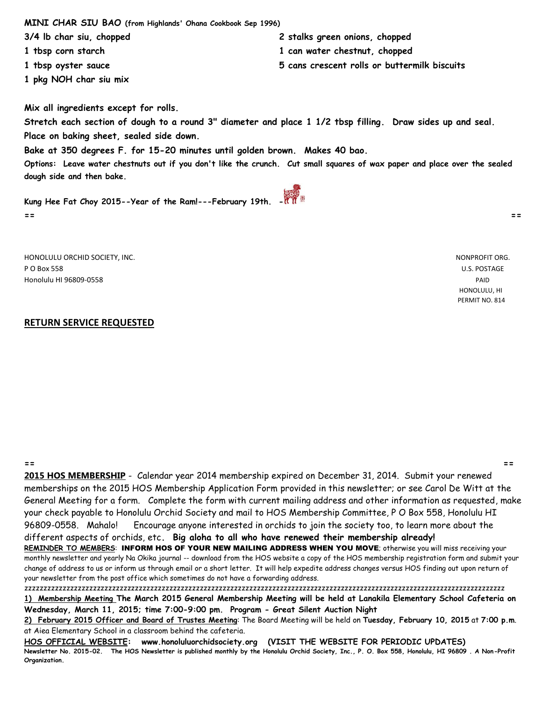**MINI CHAR SIU BAO (from Highlands' Ohana Cookbook Sep 1996)**

**3/4 lb char siu, chopped 2 stalks green onions, chopped**

- **1 tbsp corn starch 1 can water chestnut, chopped**
- **1 tbsp oyster sauce 5 cans crescent rolls or buttermilk biscuits**
- **1 pkg NOH char siu mix**

**Mix all ingredients except for rolls.** 

**Stretch each section of dough to a round 3" diameter and place 1 1/2 tbsp filling. Draw sides up and seal. Place on baking sheet, sealed side down.**

**Bake at 350 degrees F. for 15-20 minutes until golden brown. Makes 40 bao.**

**Options: Leave water chestnuts out if you don't like the crunch. Cut small squares of wax paper and place over the sealed dough side and then bake.** 

**Kung Hee Fat Choy 2015--Year of the Ram!---February 19th. - == ==**

HONOLULU ORCHID SOCIETY, INC. NONPROFIT ORG. P O Box 558 U.S. POSTAGE Honolulu HI 96809-0558 PAID

 HONOLULU, HI PERMIT NO. 814

## **RETURN SERVICE REQUESTED**

**== == 2015 HOS MEMBERSHIP** - Calendar year 2014 membership expired on December 31, 2014. Submit your renewed memberships on the 2015 HOS Membership Application Form provided in this newsletter; or see Carol De Witt at the General Meeting for a form. Complete the form with current mailing address and other information as requested, make your check payable to Honolulu Orchid Society and mail to HOS Membership Committee, P O Box 558, Honolulu HI 96809-0558. Mahalo! Encourage anyone interested in orchids to join the society too, to learn more about the different aspects of orchids, etc**. Big aloha to all who have renewed their membership already!** 

**REMINDER TO MEMBERS**: INFORM HOS OF YOUR NEW MAILING ADDRESS WHEN YOU MOVE; otherwise you will miss receiving your monthly newsletter and yearly Na Okika journal -- download from the HOS website a copy of the HOS membership registration form and submit your change of address to us or inform us through email or a short letter. It will help expedite address changes versus HOS finding out upon return of your newsletter from the post office which sometimes do not have a forwarding address.

zzzzzzzzzzzzzzzzzzzzzzzzzzzzzzzzzzzzzzzzzzzzzzzzzzzzzzzzzzzzzzzzzzzzzzzzzzzzzzzzzzzzzzzzzzzzzzzzzzzzzzzzzzzzzzzzzzzzzzzzzzzzzz **1) Membership Meeting The March 2015 General Membership Meeting will be held at Lanakila Elementary School Cafeteria on Wednesday, March 11, 2015; time 7:00-9:00 pm. Program - Great Silent Auction Night**

**2) February 2015 Officer and Board of Trustes Meeting**: The Board Meeting will be held on **Tuesday, February 10, 2015** at **7:00 p.m**. at Aiea Elementary School in a classroom behind the cafeteria.

**HOS OFFICIAL WEBSITE: www.honoluluorchidsociety.org (VISIT THE WEBSITE FOR PERIODIC UPDATES) Newsletter No. 2015-02. The HOS Newsletter is published monthly by the Honolulu Orchid Society, Inc., P. O. Box 558, Honolulu, HI 96809 . A Non-Profit Organization.**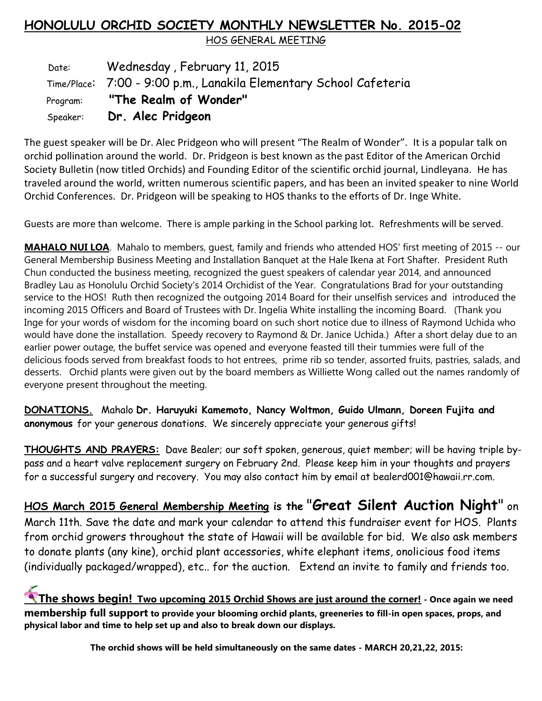## **HONOLULU ORCHID SOCIETY MONTHLY NEWSLETTER No. 2015-02**

HOS GENERAL MEETING

Date: Wednesday, February 11, 2015 Time/Place: 7:00 - 9:00 p.m., Lanakila Elementary School Cafeteria Program: **"The Realm of Wonder"** Speaker: **Dr. Alec Pridgeon**

The guest speaker will be Dr. Alec Pridgeon who will present "The Realm of Wonder". It is a popular talk on orchid pollination around the world. Dr. Pridgeon is best known as the past Editor of the American Orchid Society Bulletin (now titled Orchids) and Founding Editor of the scientific orchid journal, Lindleyana. He has traveled around the world, written numerous scientific papers, and has been an invited speaker to nine World Orchid Conferences. Dr. Pridgeon will be speaking to HOS thanks to the efforts of Dr. Inge White.

Guests are more than welcome. There is ample parking in the School parking lot. Refreshments will be served.

**MAHALO NUI LOA**. Mahalo to members, guest, family and friends who attended HOS' first meeting of 2015 -- our General Membership Business Meeting and Installation Banquet at the Hale Ikena at Fort Shafter. President Ruth Chun conducted the business meeting, recognized the guest speakers of calendar year 2014, and announced Bradley Lau as Honolulu Orchid Society's 2014 Orchidist of the Year. Congratulations Brad for your outstanding service to the HOS! Ruth then recognized the outgoing 2014 Board for their unselfish services and introduced the incoming 2015 Officers and Board of Trustees with Dr. Ingelia White installing the incoming Board. (Thank you Inge for your words of wisdom for the incoming board on such short notice due to illness of Raymond Uchida who would have done the installation. Speedy recovery to Raymond & Dr. Janice Uchida.) After a short delay due to an earlier power outage, the buffet service was opened and everyone feasted till their tummies were full of the delicious foods served from breakfast foods to hot entrees, prime rib so tender, assorted fruits, pastries, salads, and desserts. Orchid plants were given out by the board members as Williette Wong called out the names randomly of everyone present throughout the meeting.

**DONATIONS.** Mahalo **Dr. Haruyuki Kamemoto, Nancy Woltmon, Guido Ulmann, Doreen Fujita and anonymous** for your generous donations. We sincerely appreciate your generous gifts!

**THOUGHTS AND PRAYERS:** Dave Bealer; our soft spoken, generous, quiet member; will be having triple bypass and a heart valve replacement surgery on February 2nd. Please keep him in your thoughts and prayers for a successful surgery and recovery. You may also contact him by email at bealerd001@hawaii.rr.com.

**HOS March 2015 General Membership Meeting is the** "**Great Silent Auction Night**" on March 11th. Save the date and mark your calendar to attend this fundraiser event for HOS. Plants from orchid growers throughout the state of Hawaii will be available for bid. We also ask members to donate plants (any kine), orchid plant accessories, white elephant items, onolicious food items (individually packaged/wrapped), etc.. for the auction. Extend an invite to family and friends too.

**The shows begin! Two upcoming 2015 Orchid Shows are just around the corner! - Once again we need membership full support to provide your blooming orchid plants, greeneries to fill-in open spaces, props, and physical labor and time to help set up and also to break down our displays.**

**The orchid shows will be held simultaneously on the same dates - MARCH 20,21,22, 2015:**